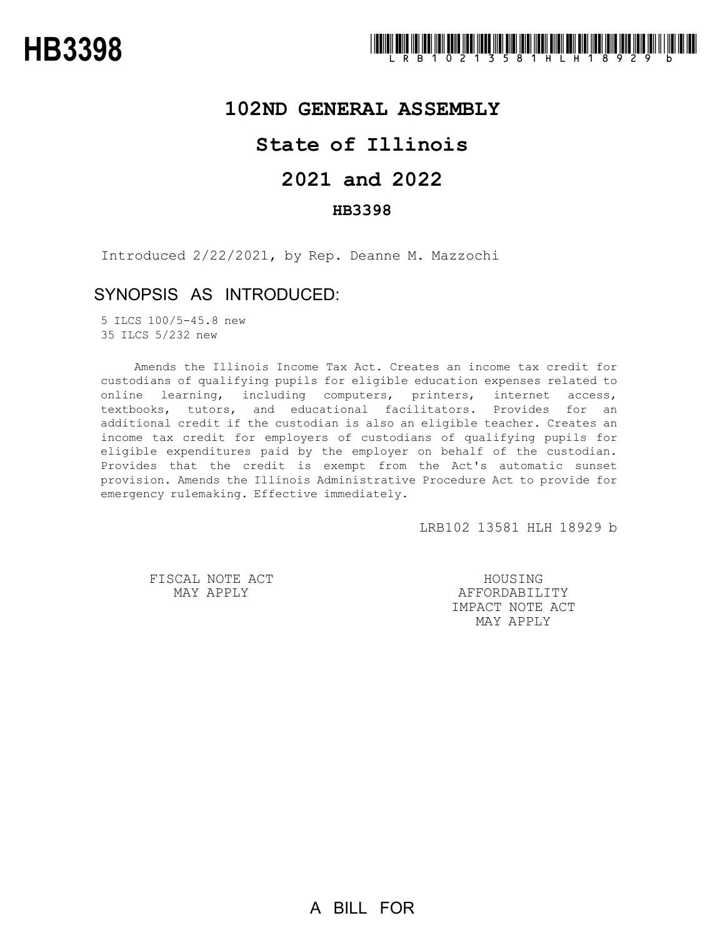# **102ND GENERAL ASSEMBLY**

# **State of Illinois**

# **2021 and 2022**

### **HB3398**

Introduced 2/22/2021, by Rep. Deanne M. Mazzochi

# SYNOPSIS AS INTRODUCED:

5 ILCS 100/5-45.8 new 35 ILCS 5/232 new

Amends the Illinois Income Tax Act. Creates an income tax credit for custodians of qualifying pupils for eligible education expenses related to online learning, including computers, printers, internet access, textbooks, tutors, and educational facilitators. Provides for an additional credit if the custodian is also an eligible teacher. Creates an income tax credit for employers of custodians of qualifying pupils for eligible expenditures paid by the employer on behalf of the custodian. Provides that the credit is exempt from the Act's automatic sunset provision. Amends the Illinois Administrative Procedure Act to provide for emergency rulemaking. Effective immediately.

LRB102 13581 HLH 18929 b

FISCAL NOTE ACT MAY APPLY

HOUSING AFFORDABILITY IMPACT NOTE ACT MAY APPLY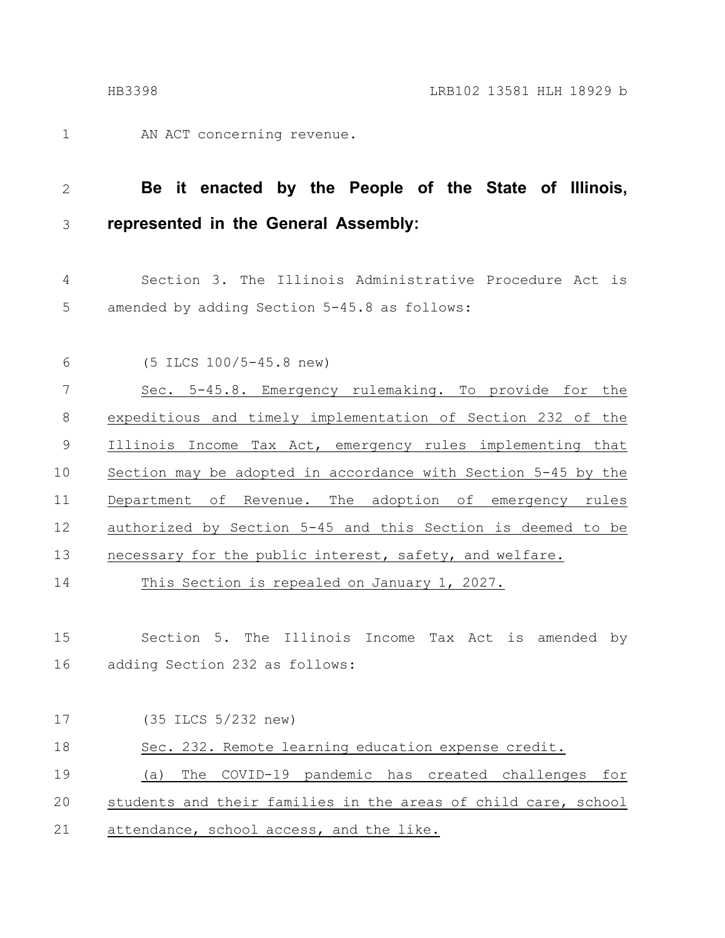AN ACT concerning revenue. 1

#### **Be it enacted by the People of the State of Illinois, represented in the General Assembly:** 2 3

Section 3. The Illinois Administrative Procedure Act is amended by adding Section 5-45.8 as follows: 4 5

(5 ILCS 100/5-45.8 new) Sec. 5-45.8. Emergency rulemaking. To provide for the expeditious and timely implementation of Section 232 of the Illinois Income Tax Act, emergency rules implementing that Section may be adopted in accordance with Section 5-45 by the Department of Revenue. The adoption of emergency rules authorized by Section 5-45 and this Section is deemed to be necessary for the public interest, safety, and welfare. 6 7 8 9 10 11 12 13

This Section is repealed on January 1, 2027. 14

Section 5. The Illinois Income Tax Act is amended by adding Section 232 as follows: 15 16

| 17 | (35 ILCS 5/232 new)                                            |
|----|----------------------------------------------------------------|
| 18 | Sec. 232. Remote learning education expense credit.            |
| 19 | The COVID-19 pandemic has created challenges for<br>(a)        |
| 20 | students and their families in the areas of child care, school |
| 21 | attendance, school access, and the like.                       |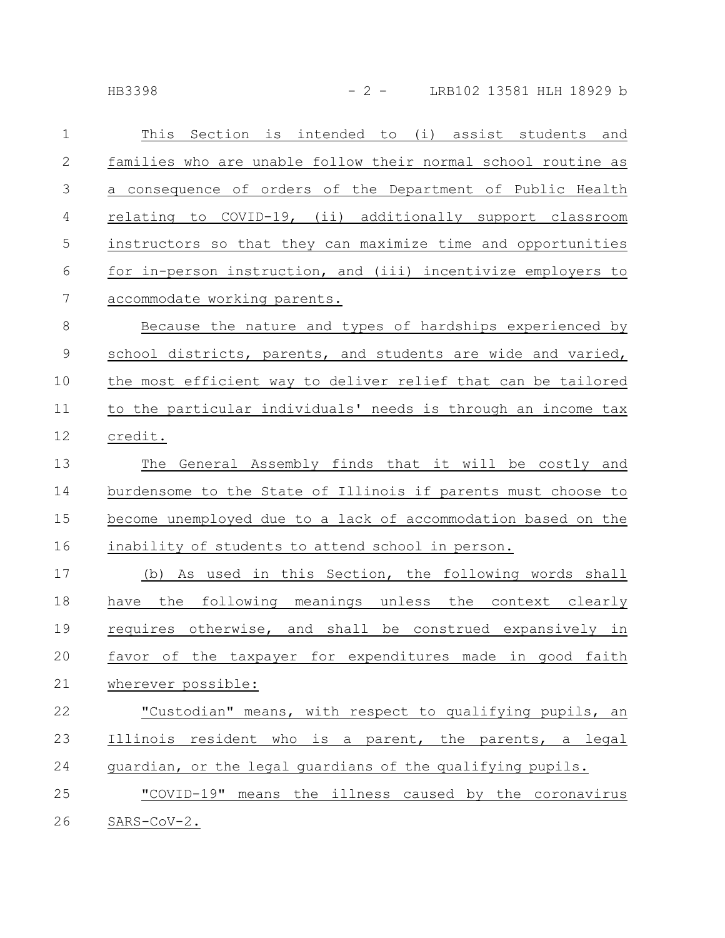HB3398 - 2 - LRB102 13581 HLH 18929 b

| $\mathbf 1$      | This Section is intended to (i) assist students and           |
|------------------|---------------------------------------------------------------|
| $\mathbf{2}$     | families who are unable follow their normal school routine as |
| 3                | a consequence of orders of the Department of Public Health    |
| $\overline{4}$   | relating to COVID-19, (ii) additionally support classroom     |
| 5                | instructors so that they can maximize time and opportunities  |
| 6                | for in-person instruction, and (iii) incentivize employers to |
| $\boldsymbol{7}$ | accommodate working parents.                                  |
| $8\,$            | Because the nature and types of hardships experienced by      |
| $\mathsf 9$      | school districts, parents, and students are wide and varied,  |
| 10               | the most efficient way to deliver relief that can be tailored |
| 11               | to the particular individuals' needs is through an income tax |
| 12               | credit.                                                       |
| 13               | General Assembly finds that it will be costly and<br>The      |
| 14               | burdensome to the State of Illinois if parents must choose to |
| 15               | become unemployed due to a lack of accommodation based on the |
| 16               | inability of students to attend school in person.             |
| 17               | (b) As used in this Section, the following words shall        |
| 18               | have the following meanings unless the context clearly        |
| 19               | requires otherwise, and shall be construed expansively in     |
| 20               | favor of the taxpayer for expenditures made in good faith     |
| 21               | wherever possible:                                            |
| 22               | "Custodian" means, with respect to qualifying pupils, an      |
| 23               | Illinois resident who is a parent, the parents, a legal       |
| 24               | guardian, or the legal guardians of the qualifying pupils.    |
| 25               | "COVID-19" means the illness caused by the coronavirus        |
| 26               | $SARS-CoV-2.$                                                 |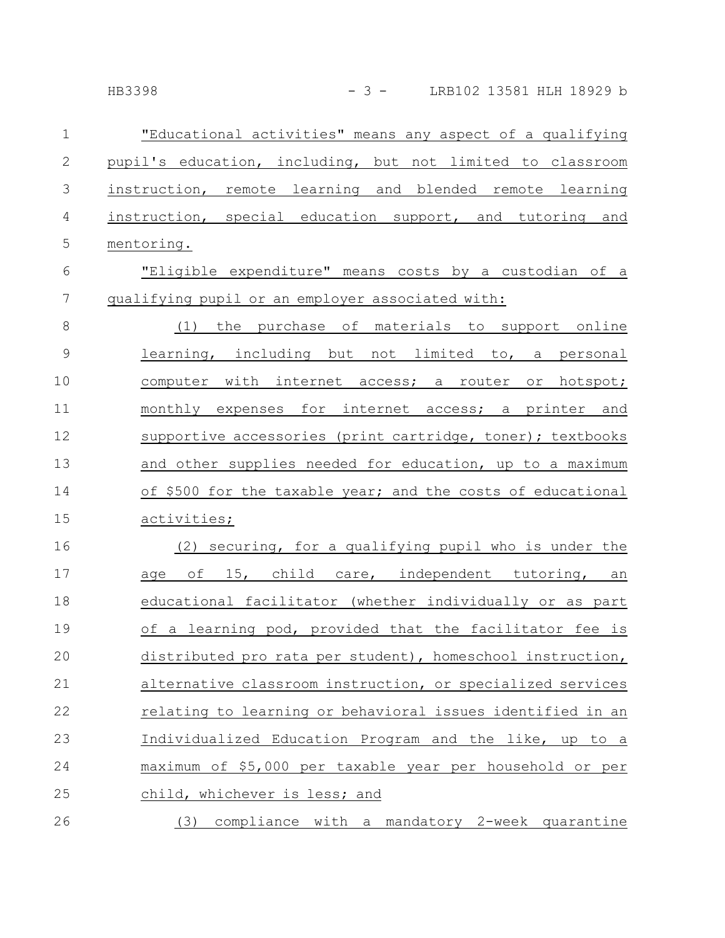| $\mathbf 1$      | "Educational activities" means any aspect of a qualifying   |
|------------------|-------------------------------------------------------------|
| $\mathbf 2$      | pupil's education, including, but not limited to classroom  |
| $\mathfrak{Z}$   | instruction, remote learning and blended remote learning    |
| 4                | instruction, special education support, and tutoring and    |
| 5                | mentoring.                                                  |
| $\sqrt{6}$       | "Eligible expenditure" means costs by a custodian of a      |
| $\boldsymbol{7}$ | qualifying pupil or an employer associated with:            |
| 8                | (1) the purchase of materials to support online             |
| $\mathsf 9$      | learning, including but not limited to, a personal          |
| 10               | computer with internet access; a router or hotspot;         |
| 11               | monthly expenses for internet access; a printer and         |
| 12               | supportive accessories (print cartridge, toner); textbooks  |
| 13               | and other supplies needed for education, up to a maximum    |
| 14               | of \$500 for the taxable year; and the costs of educational |
| 15               | activities;                                                 |
| 16               | (2) securing, for a qualifying pupil who is under the       |
| 17               | age of 15, child care, independent tutoring, an             |
| 18               | educational facilitator (whether individually or as part    |
| 19               | of a learning pod, provided that the facilitator fee is     |
| 20               | distributed pro rata per student), homeschool instruction,  |
| 21               | alternative classroom instruction, or specialized services  |
| 22               | relating to learning or behavioral issues identified in an  |
| 23               | Individualized Education Program and the like, up to a      |
| 24               | maximum of \$5,000 per taxable year per household or per    |
| 25               | child, whichever is less; and                               |
| 26               | (3) compliance with a mandatory 2-week quarantine           |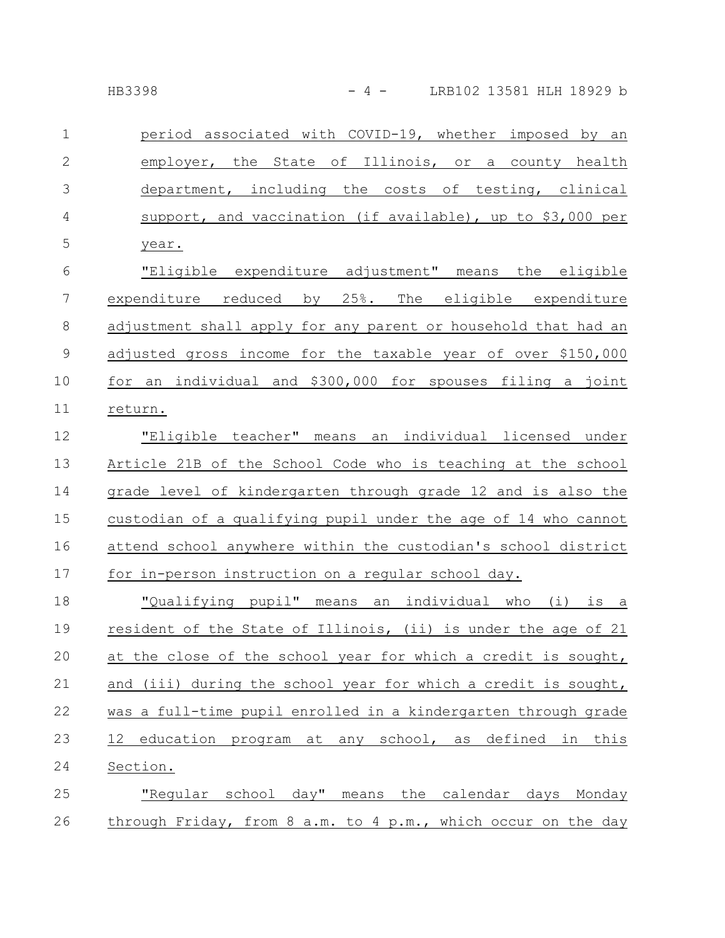| $\mathbf{1}$   | period associated with COVID-19, whether imposed by an         |
|----------------|----------------------------------------------------------------|
| $\mathbf{2}$   | employer, the State of Illinois, or a county health            |
| 3              | department, including the costs of testing, clinical           |
| $\overline{4}$ | support, and vaccination (if available), up to \$3,000 per     |
| 5              | year.                                                          |
| 6              | "Eligible expenditure adjustment" means the eligible           |
| $\overline{7}$ | expenditure reduced by 25%. The eligible expenditure           |
| 8              | adjustment shall apply for any parent or household that had an |
| 9              | adjusted gross income for the taxable year of over \$150,000   |
| 10             | for an individual and \$300,000 for spouses filing a joint     |
| 11             | return.                                                        |
| 12             | "Eligible teacher" means an individual licensed under          |
| 13             | Article 21B of the School Code who is teaching at the school   |
| 14             | grade level of kindergarten through grade 12 and is also the   |
| 15             | custodian of a qualifying pupil under the age of 14 who cannot |
| 16             | attend school anywhere within the custodian's school district  |
| 17             | for in-person instruction on a regular school day.             |
| 18             | "Qualifying pupil" means an individual who (i) is a            |
| 19             | resident of the State of Illinois, (ii) is under the age of 21 |
| 20             | at the close of the school year for which a credit is sought,  |
| 21             | and (iii) during the school year for which a credit is sought, |
| 22             | was a full-time pupil enrolled in a kindergarten through grade |
| 23             | 12 education program at any school, as defined in this         |
| 24             | Section.                                                       |
| 25             | "Regular school day" means the calendar days Monday            |
| 26             | through Friday, from 8 a.m. to 4 p.m., which occur on the day  |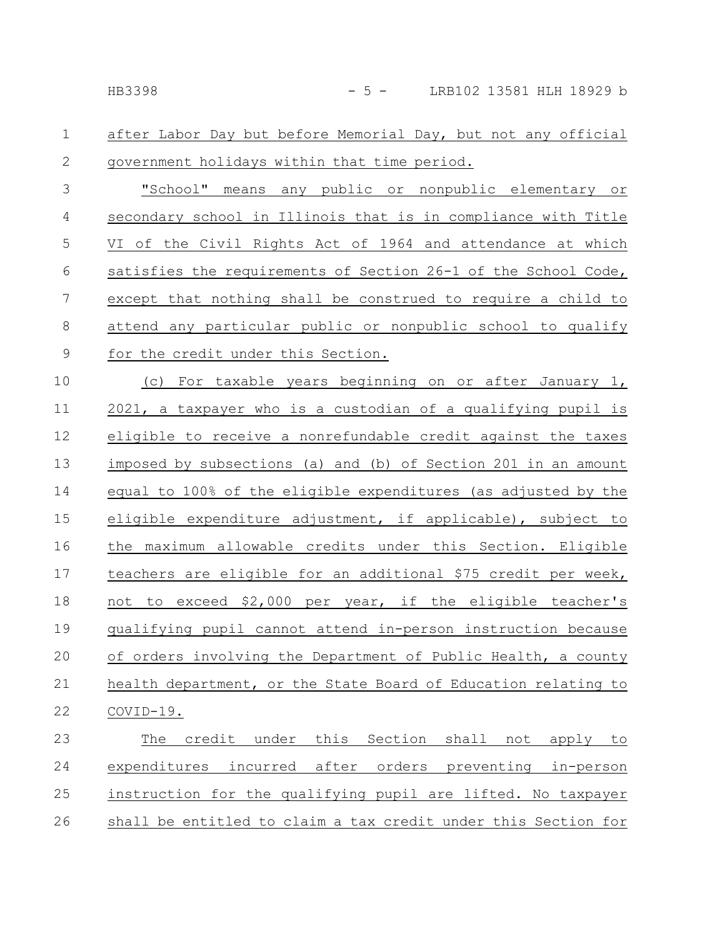after Labor Day but before Memorial Day, but not any official government holidays within that time period. 1 2

"School" means any public or nonpublic elementary or secondary school in Illinois that is in compliance with Title VI of the Civil Rights Act of 1964 and attendance at which satisfies the requirements of Section 26-1 of the School Code, except that nothing shall be construed to require a child to attend any particular public or nonpublic school to qualify for the credit under this Section. 3 4 5 6 7 8 9

(c) For taxable years beginning on or after January 1, 2021, a taxpayer who is a custodian of a qualifying pupil is eligible to receive a nonrefundable credit against the taxes imposed by subsections (a) and (b) of Section 201 in an amount equal to 100% of the eligible expenditures (as adjusted by the eligible expenditure adjustment, if applicable), subject to the maximum allowable credits under this Section. Eligible teachers are eligible for an additional \$75 credit per week, not to exceed \$2,000 per year, if the eligible teacher's qualifying pupil cannot attend in-person instruction because of orders involving the Department of Public Health, a county health department, or the State Board of Education relating to COVID-19. 10 11 12 13 14 15 16 17 18 19 20 21 22

The credit under this Section shall not apply to expenditures incurred after orders preventing in-person instruction for the qualifying pupil are lifted. No taxpayer shall be entitled to claim a tax credit under this Section for 23 24 25 26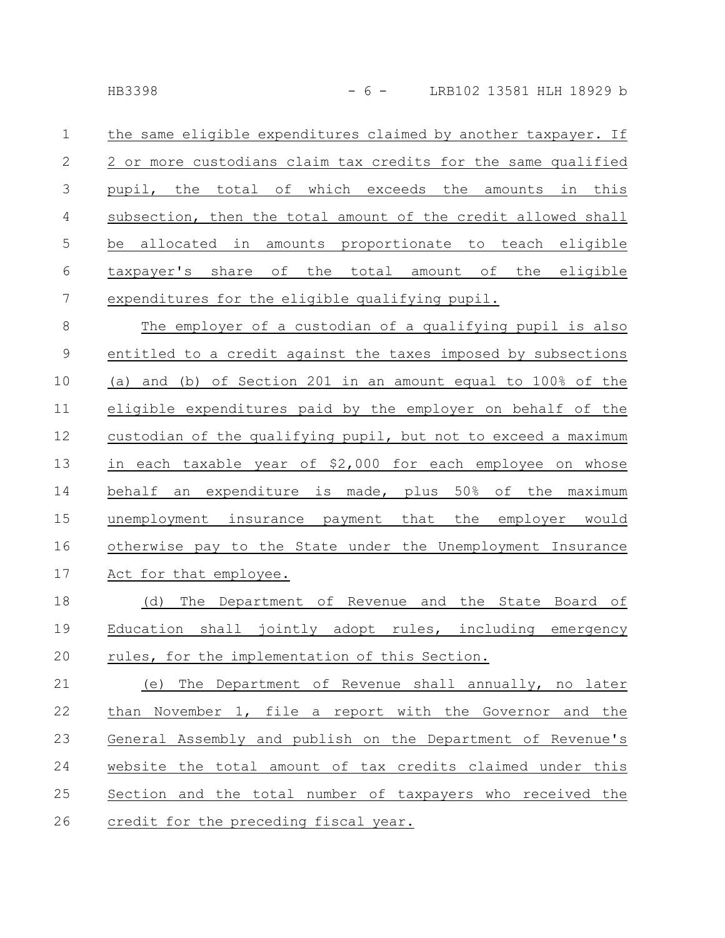the same eligible expenditures claimed by another taxpayer. If 2 or more custodians claim tax credits for the same qualified pupil, the total of which exceeds the amounts in this subsection, then the total amount of the credit allowed shall be allocated in amounts proportionate to teach eligible taxpayer's share of the total amount of the eligible expenditures for the eligible qualifying pupil. 1 2 3 4 5 6 7

The employer of a custodian of a qualifying pupil is also entitled to a credit against the taxes imposed by subsections (a) and (b) of Section 201 in an amount equal to 100% of the eligible expenditures paid by the employer on behalf of the custodian of the qualifying pupil, but not to exceed a maximum in each taxable year of \$2,000 for each employee on whose behalf an expenditure is made, plus 50% of the maximum unemployment insurance payment that the employer would otherwise pay to the State under the Unemployment Insurance Act for that employee. 8 9 10 11 12 13 14 15 16 17

(d) The Department of Revenue and the State Board of Education shall jointly adopt rules, including emergency rules, for the implementation of this Section. 18 19 20

(e) The Department of Revenue shall annually, no later than November 1, file a report with the Governor and the General Assembly and publish on the Department of Revenue's website the total amount of tax credits claimed under this Section and the total number of taxpayers who received the credit for the preceding fiscal year. 21 22 23 24 25 26